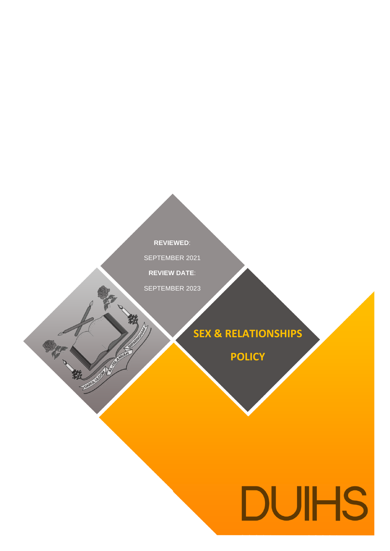**REVIEWED**: **REVIEWED**: SEPTEMBER 2021

**REVIEW DATE**:

1

SEPTEMBER 2023

AUGUST 2019

中被

# **SEX & RELATIONSHIPS**

**POLICY**

# **DUIHS**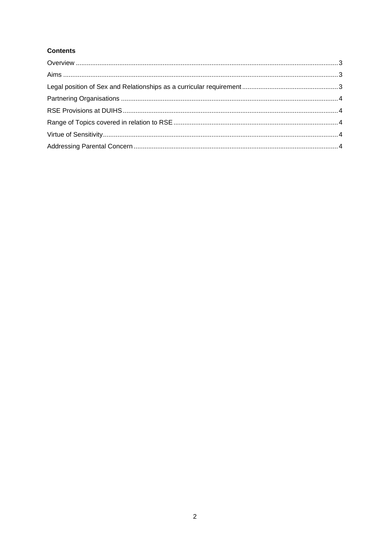# **Contents**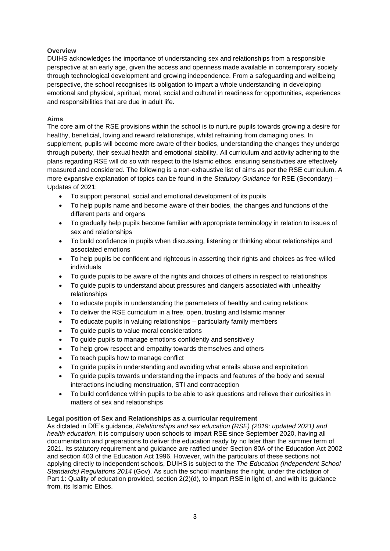### <span id="page-2-0"></span>**Overview**

DUIHS acknowledges the importance of understanding sex and relationships from a responsible perspective at an early age, given the access and openness made available in contemporary society through technological development and growing independence. From a safeguarding and wellbeing perspective, the school recognises its obligation to impart a whole understanding in developing emotional and physical, spiritual, moral, social and cultural in readiness for opportunities, experiences and responsibilities that are due in adult life.

#### <span id="page-2-1"></span>**Aims**

The core aim of the RSE provisions within the school is to nurture pupils towards growing a desire for healthy, beneficial, loving and reward relationships, whilst refraining from damaging ones. In supplement, pupils will become more aware of their bodies, understanding the changes they undergo through puberty, their sexual health and emotional stability. All curriculum and activity adhering to the plans regarding RSE will do so with respect to the Islamic ethos, ensuring sensitivities are effectively measured and considered. The following is a non-exhaustive list of aims as per the RSE curriculum. A more expansive explanation of topics can be found in the *Statutory Guidance* for RSE (Secondary) – Updates of 2021:

- To support personal, social and emotional development of its pupils
- To help pupils name and become aware of their bodies, the changes and functions of the different parts and organs
- To gradually help pupils become familiar with appropriate terminology in relation to issues of sex and relationships
- To build confidence in pupils when discussing, listening or thinking about relationships and associated emotions
- To help pupils be confident and righteous in asserting their rights and choices as free-willed individuals
- To guide pupils to be aware of the rights and choices of others in respect to relationships
- To guide pupils to understand about pressures and dangers associated with unhealthy relationships
- To educate pupils in understanding the parameters of healthy and caring relations
- To deliver the RSE curriculum in a free, open, trusting and Islamic manner
- To educate pupils in valuing relationships particularly family members
- To guide pupils to value moral considerations
- To guide pupils to manage emotions confidently and sensitively
- To help grow respect and empathy towards themselves and others
- To teach pupils how to manage conflict
- To guide pupils in understanding and avoiding what entails abuse and exploitation
- To guide pupils towards understanding the impacts and features of the body and sexual interactions including menstruation, STI and contraception
- To build confidence within pupils to be able to ask questions and relieve their curiosities in matters of sex and relationships

#### <span id="page-2-2"></span>**Legal position of Sex and Relationships as a curricular requirement**

<span id="page-2-3"></span>As dictated in DfE's guidance, *Relationships and sex education (RSE) (2019: updated 2021) and health education*, it is compulsory upon schools to impart RSE since September 2020, having all documentation and preparations to deliver the education ready by no later than the summer term of 2021. Its statutory requirement and guidance are ratified under Section 80A of the Education Act 2002 and section 403 of the Education Act 1996. However, with the particulars of these sections not applying directly to independent schools, DUIHS is subject to the *The Education (Independent School Standards) Regulations 2014* (Gov). As such the school maintains the right, under the dictation of Part 1: Quality of education provided, section 2(2)(d), to impart RSE in light of, and with its guidance from, its Islamic Ethos.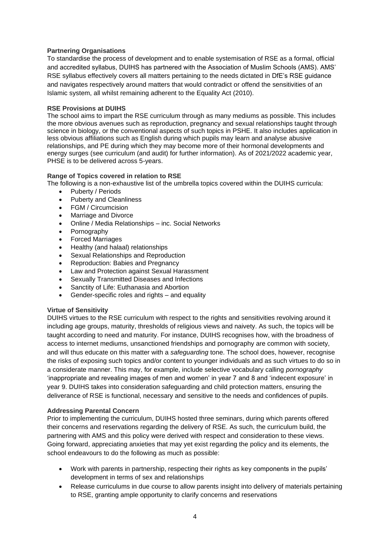#### **Partnering Organisations**

To standardise the process of development and to enable systemisation of RSE as a formal, official and accredited syllabus, DUIHS has partnered with the Association of Muslim Schools (AMS). AMS' RSE syllabus effectively covers all matters pertaining to the needs dictated in DfE's RSE guidance and navigates respectively around matters that would contradict or offend the sensitivities of an Islamic system, all whilst remaining adherent to the Equality Act (2010).

#### <span id="page-3-0"></span>**RSE Provisions at DUIHS**

The school aims to impart the RSE curriculum through as many mediums as possible. This includes the more obvious avenues such as reproduction, pregnancy and sexual relationships taught through science in biology, or the conventional aspects of such topics in PSHE. It also includes application in less obvious affiliations such as English during which pupils may learn and analyse abusive relationships, and PE during which they may become more of their hormonal developments and energy surges (see curriculum (and audit) for further information). As of 2021/2022 academic year, PHSE is to be delivered across 5-years.

#### <span id="page-3-1"></span>**Range of Topics covered in relation to RSE**

The following is a non-exhaustive list of the umbrella topics covered within the DUIHS curricula:

- Puberty / Periods
- Puberty and Cleanliness
- FGM / Circumcision
- Marriage and Divorce
- Online / Media Relationships inc. Social Networks
- Pornography
- Forced Marriages
- Healthy (and halaal) relationships
- Sexual Relationships and Reproduction
- Reproduction: Babies and Pregnancy
- Law and Protection against Sexual Harassment
- Sexually Transmitted Diseases and Infections
- Sanctity of Life: Euthanasia and Abortion
- Gender-specific roles and rights and equality

#### <span id="page-3-2"></span>**Virtue of Sensitivity**

DUIHS virtues to the RSE curriculum with respect to the rights and sensitivities revolving around it including age groups, maturity, thresholds of religious views and naivety. As such, the topics will be taught according to need and maturity. For instance, DUIHS recognises how, with the broadness of access to internet mediums, unsanctioned friendships and pornography are common with society, and will thus educate on this matter with a *safeguarding* tone. The school does, however, recognise the risks of exposing such topics and/or content to younger individuals and as such virtues to do so in a considerate manner. This may, for example, include selective vocabulary calling *pornography*  'inappropriate and revealing images of men and women' in year 7 and 8 and 'indecent exposure' in year 9. DUIHS takes into consideration safeguarding and child protection matters, ensuring the deliverance of RSE is functional, necessary and sensitive to the needs and confidences of pupils.

#### <span id="page-3-3"></span>**Addressing Parental Concern**

Prior to implementing the curriculum, DUIHS hosted three seminars, during which parents offered their concerns and reservations regarding the delivery of RSE. As such, the curriculum build, the partnering with AMS and this policy were derived with respect and consideration to these views. Going forward, appreciating anxieties that may yet exist regarding the policy and its elements, the school endeavours to do the following as much as possible:

- Work with parents in partnership, respecting their rights as key components in the pupils' development in terms of sex and relationships
- Release curriculums in due course to allow parents insight into delivery of materials pertaining to RSE, granting ample opportunity to clarify concerns and reservations